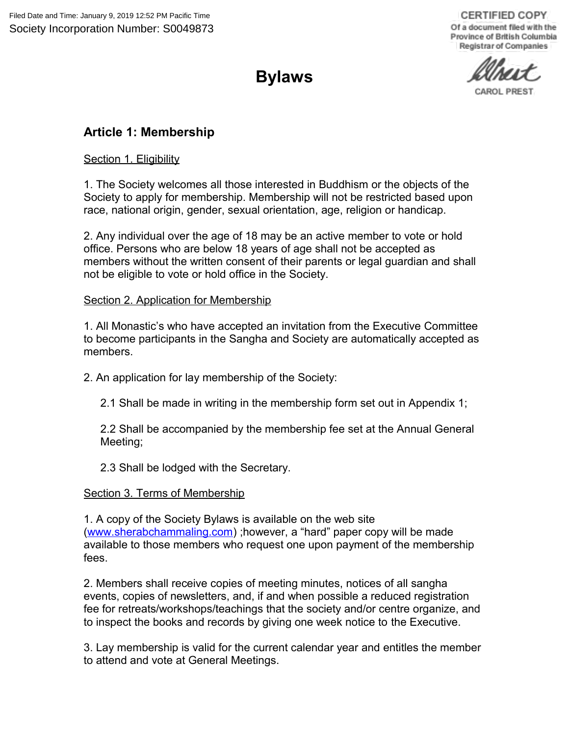**CERTIFIED COPY** Of a document filed with the Province of British Columbia Registrar of Companies

CAROL PREST

# **Bylaws**

# **Article 1: Membership**

Section 1. Eligibility

1. The Society welcomes all those interested in Buddhism or the objects of the Society to apply for membership. Membership will not be restricted based upon race, national origin, gender, sexual orientation, age, religion or handicap.

2. Any individual over the age of 18 may be an active member to vote or hold office. Persons who are below 18 years of age shall not be accepted as members without the written consent of their parents or legal guardian and shall not be eligible to vote or hold office in the Society.

### Section 2. Application for Membership

1. All Monastic's who have accepted an invitation from the Executive Committee to become participants in the Sangha and Society are automatically accepted as members.

2. An application for lay membership of the Society:

2.1 Shall be made in writing in the membership form set out in Appendix 1;

2.2 Shall be accompanied by the membership fee set at the Annual General Meeting;

2.3 Shall be lodged with the Secretary.

#### Section 3. Terms of Membership

1. A copy of the Society Bylaws is available on the web site [\(www.sherabchammaling.com\)](http://www.sherabchammaling.com/) ;however, a "hard" paper copy will be made available to those members who request one upon payment of the membership fees.

2. Members shall receive copies of meeting minutes, notices of all sangha events, copies of newsletters, and, if and when possible a reduced registration fee for retreats/workshops/teachings that the society and/or centre organize, and to inspect the books and records by giving one week notice to the Executive.

3. Lay membership is valid for the current calendar year and entitles the member to attend and vote at General Meetings.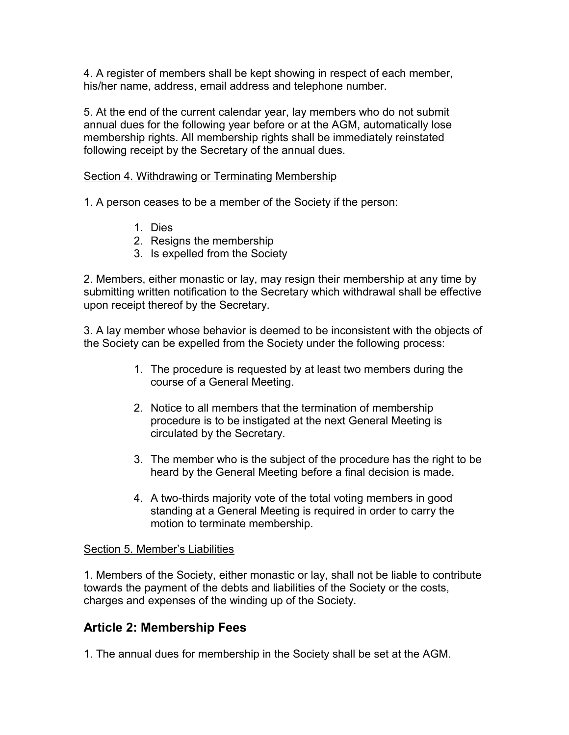4. A register of members shall be kept showing in respect of each member, his/her name, address, email address and telephone number.

5. At the end of the current calendar year, lay members who do not submit annual dues for the following year before or at the AGM, automatically lose membership rights. All membership rights shall be immediately reinstated following receipt by the Secretary of the annual dues.

#### Section 4. Withdrawing or Terminating Membership

1. A person ceases to be a member of the Society if the person:

- 1. Dies
- 2. Resigns the membership
- 3. Is expelled from the Society

2. Members, either monastic or lay, may resign their membership at any time by submitting written notification to the Secretary which withdrawal shall be effective upon receipt thereof by the Secretary.

3. A lay member whose behavior is deemed to be inconsistent with the objects of the Society can be expelled from the Society under the following process:

- 1. The procedure is requested by at least two members during the course of a General Meeting.
- 2. Notice to all members that the termination of membership procedure is to be instigated at the next General Meeting is circulated by the Secretary.
- 3. The member who is the subject of the procedure has the right to be heard by the General Meeting before a final decision is made.
- 4. A two-thirds majority vote of the total voting members in good standing at a General Meeting is required in order to carry the motion to terminate membership.

#### Section 5. Member's Liabilities

1. Members of the Society, either monastic or lay, shall not be liable to contribute towards the payment of the debts and liabilities of the Society or the costs, charges and expenses of the winding up of the Society.

### **Article 2: Membership Fees**

1. The annual dues for membership in the Society shall be set at the AGM.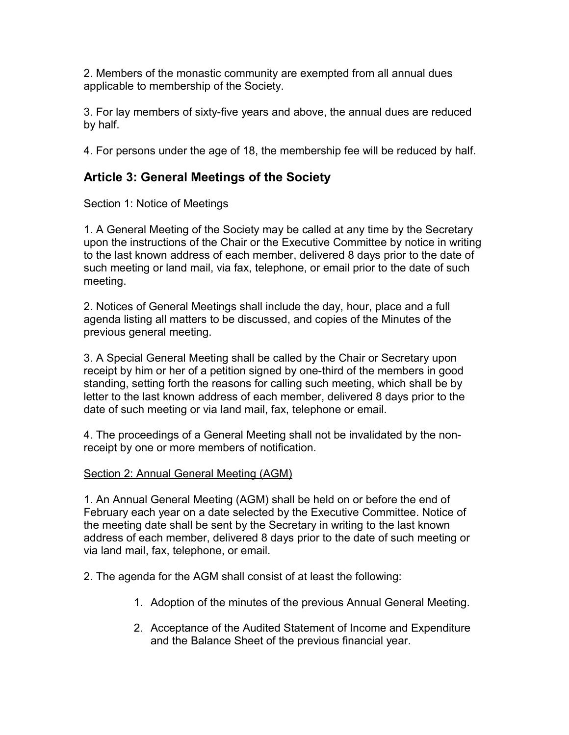2. Members of the monastic community are exempted from all annual dues applicable to membership of the Society.

3. For lay members of sixty-five years and above, the annual dues are reduced by half.

4. For persons under the age of 18, the membership fee will be reduced by half.

# **Article 3: General Meetings of the Society**

Section 1: Notice of Meetings

1. A General Meeting of the Society may be called at any time by the Secretary upon the instructions of the Chair or the Executive Committee by notice in writing to the last known address of each member, delivered 8 days prior to the date of such meeting or land mail, via fax, telephone, or email prior to the date of such meeting.

2. Notices of General Meetings shall include the day, hour, place and a full agenda listing all matters to be discussed, and copies of the Minutes of the previous general meeting.

3. A Special General Meeting shall be called by the Chair or Secretary upon receipt by him or her of a petition signed by one-third of the members in good standing, setting forth the reasons for calling such meeting, which shall be by letter to the last known address of each member, delivered 8 days prior to the date of such meeting or via land mail, fax, telephone or email.

4. The proceedings of a General Meeting shall not be invalidated by the nonreceipt by one or more members of notification.

### Section 2: Annual General Meeting (AGM)

1. An Annual General Meeting (AGM) shall be held on or before the end of February each year on a date selected by the Executive Committee. Notice of the meeting date shall be sent by the Secretary in writing to the last known address of each member, delivered 8 days prior to the date of such meeting or via land mail, fax, telephone, or email.

2. The agenda for the AGM shall consist of at least the following:

- 1. Adoption of the minutes of the previous Annual General Meeting.
- 2. Acceptance of the Audited Statement of Income and Expenditure and the Balance Sheet of the previous financial year.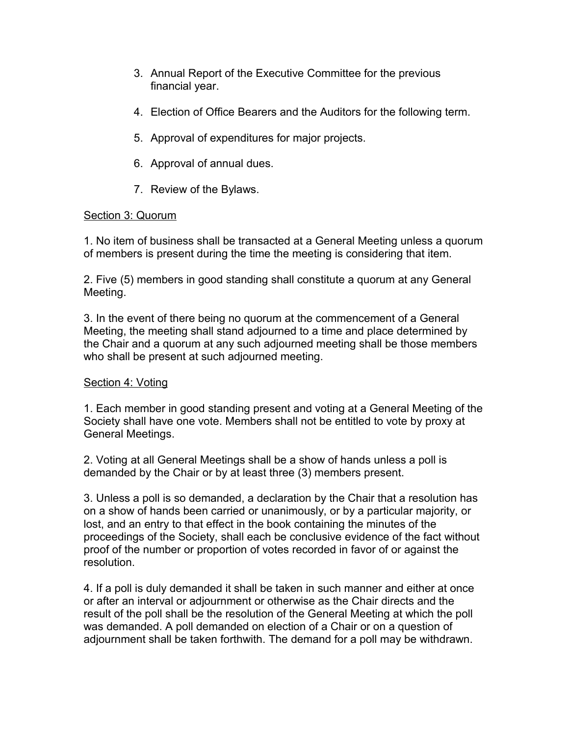- 3. Annual Report of the Executive Committee for the previous financial year.
- 4. Election of Office Bearers and the Auditors for the following term.
- 5. Approval of expenditures for major projects.
- 6. Approval of annual dues.
- 7. Review of the Bylaws.

### Section 3: Quorum

1. No item of business shall be transacted at a General Meeting unless a quorum of members is present during the time the meeting is considering that item.

2. Five (5) members in good standing shall constitute a quorum at any General Meeting.

3. In the event of there being no quorum at the commencement of a General Meeting, the meeting shall stand adjourned to a time and place determined by the Chair and a quorum at any such adjourned meeting shall be those members who shall be present at such adjourned meeting.

### Section 4: Voting

1. Each member in good standing present and voting at a General Meeting of the Society shall have one vote. Members shall not be entitled to vote by proxy at General Meetings.

2. Voting at all General Meetings shall be a show of hands unless a poll is demanded by the Chair or by at least three (3) members present.

3. Unless a poll is so demanded, a declaration by the Chair that a resolution has on a show of hands been carried or unanimously, or by a particular majority, or lost, and an entry to that effect in the book containing the minutes of the proceedings of the Society, shall each be conclusive evidence of the fact without proof of the number or proportion of votes recorded in favor of or against the resolution.

4. If a poll is duly demanded it shall be taken in such manner and either at once or after an interval or adjournment or otherwise as the Chair directs and the result of the poll shall be the resolution of the General Meeting at which the poll was demanded. A poll demanded on election of a Chair or on a question of adjournment shall be taken forthwith. The demand for a poll may be withdrawn.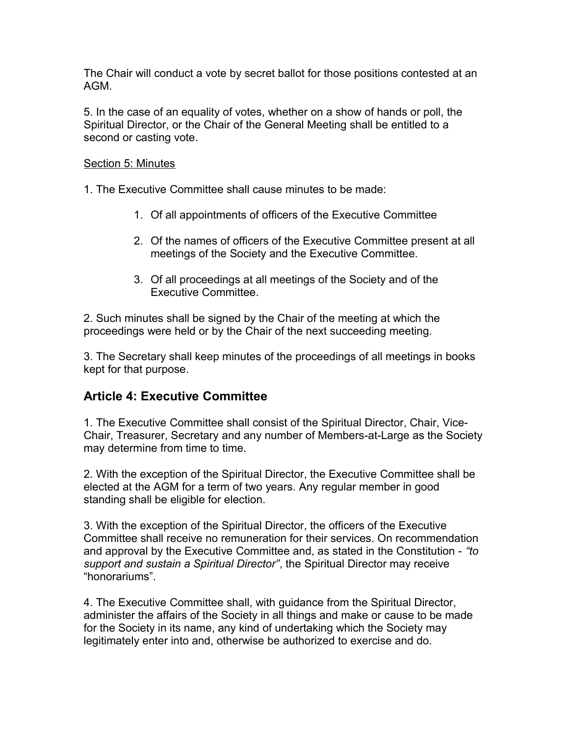The Chair will conduct a vote by secret ballot for those positions contested at an AGM.

5. In the case of an equality of votes, whether on a show of hands or poll, the Spiritual Director, or the Chair of the General Meeting shall be entitled to a second or casting vote.

#### Section 5: Minutes

1. The Executive Committee shall cause minutes to be made:

- 1. Of all appointments of officers of the Executive Committee
- 2. Of the names of officers of the Executive Committee present at all meetings of the Society and the Executive Committee.
- 3. Of all proceedings at all meetings of the Society and of the Executive Committee.

2. Such minutes shall be signed by the Chair of the meeting at which the proceedings were held or by the Chair of the next succeeding meeting.

3. The Secretary shall keep minutes of the proceedings of all meetings in books kept for that purpose.

### **Article 4: Executive Committee**

1. The Executive Committee shall consist of the Spiritual Director, Chair, Vice-Chair, Treasurer, Secretary and any number of Members-at-Large as the Society may determine from time to time.

2. With the exception of the Spiritual Director, the Executive Committee shall be elected at the AGM for a term of two years. Any regular member in good standing shall be eligible for election.

3. With the exception of the Spiritual Director, the officers of the Executive Committee shall receive no remuneration for their services. On recommendation and approval by the Executive Committee and, as stated in the Constitution - *"to support and sustain a Spiritual Director"*, the Spiritual Director may receive "honorariums".

4. The Executive Committee shall, with guidance from the Spiritual Director, administer the affairs of the Society in all things and make or cause to be made for the Society in its name, any kind of undertaking which the Society may legitimately enter into and, otherwise be authorized to exercise and do.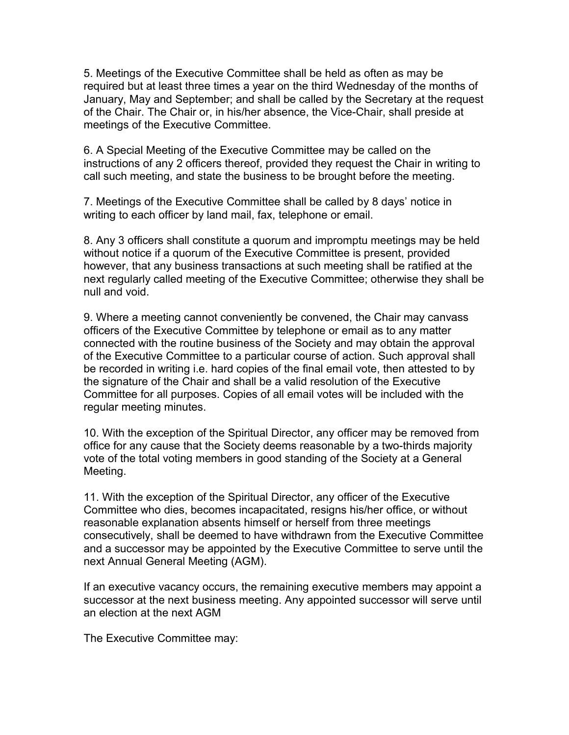5. Meetings of the Executive Committee shall be held as often as may be required but at least three times a year on the third Wednesday of the months of January, May and September; and shall be called by the Secretary at the request of the Chair. The Chair or, in his/her absence, the Vice-Chair, shall preside at meetings of the Executive Committee.

6. A Special Meeting of the Executive Committee may be called on the instructions of any 2 officers thereof, provided they request the Chair in writing to call such meeting, and state the business to be brought before the meeting.

7. Meetings of the Executive Committee shall be called by 8 days' notice in writing to each officer by land mail, fax, telephone or email.

8. Any 3 officers shall constitute a quorum and impromptu meetings may be held without notice if a quorum of the Executive Committee is present, provided however, that any business transactions at such meeting shall be ratified at the next regularly called meeting of the Executive Committee; otherwise they shall be null and void.

9. Where a meeting cannot conveniently be convened, the Chair may canvass officers of the Executive Committee by telephone or email as to any matter connected with the routine business of the Society and may obtain the approval of the Executive Committee to a particular course of action. Such approval shall be recorded in writing i.e. hard copies of the final email vote, then attested to by the signature of the Chair and shall be a valid resolution of the Executive Committee for all purposes. Copies of all email votes will be included with the regular meeting minutes.

10. With the exception of the Spiritual Director, any officer may be removed from office for any cause that the Society deems reasonable by a two-thirds majority vote of the total voting members in good standing of the Society at a General Meeting.

11. With the exception of the Spiritual Director, any officer of the Executive Committee who dies, becomes incapacitated, resigns his/her office, or without reasonable explanation absents himself or herself from three meetings consecutively, shall be deemed to have withdrawn from the Executive Committee and a successor may be appointed by the Executive Committee to serve until the next Annual General Meeting (AGM).

If an executive vacancy occurs, the remaining executive members may appoint a successor at the next business meeting. Any appointed successor will serve until an election at the next AGM

The Executive Committee may: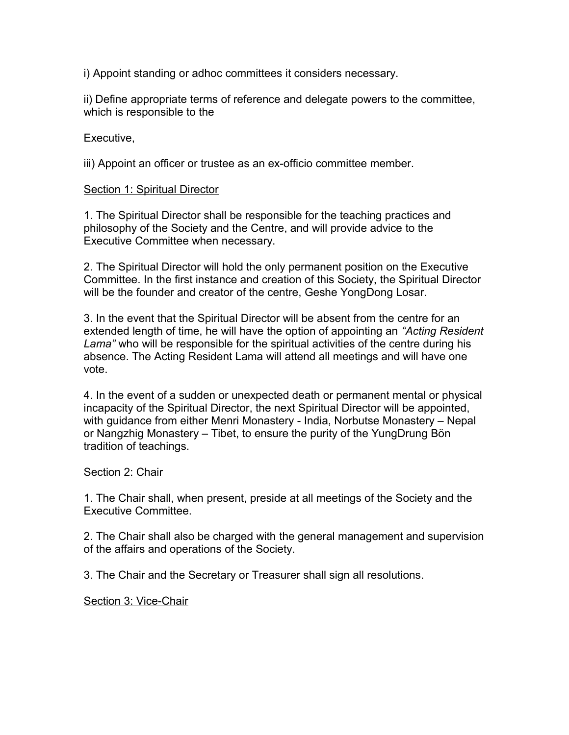i) Appoint standing or adhoc committees it considers necessary.

ii) Define appropriate terms of reference and delegate powers to the committee, which is responsible to the

Executive,

iii) Appoint an officer or trustee as an ex-officio committee member.

#### Section 1: Spiritual Director

1. The Spiritual Director shall be responsible for the teaching practices and philosophy of the Society and the Centre, and will provide advice to the Executive Committee when necessary.

2. The Spiritual Director will hold the only permanent position on the Executive Committee. In the first instance and creation of this Society, the Spiritual Director will be the founder and creator of the centre, Geshe YongDong Losar.

3. In the event that the Spiritual Director will be absent from the centre for an extended length of time, he will have the option of appointing an *"Acting Resident Lama"* who will be responsible for the spiritual activities of the centre during his absence. The Acting Resident Lama will attend all meetings and will have one vote.

4. In the event of a sudden or unexpected death or permanent mental or physical incapacity of the Spiritual Director, the next Spiritual Director will be appointed, with guidance from either Menri Monastery - India, Norbutse Monastery – Nepal or Nangzhig Monastery – Tibet, to ensure the purity of the YungDrung Bön tradition of teachings.

#### Section 2: Chair

1. The Chair shall, when present, preside at all meetings of the Society and the Executive Committee.

2. The Chair shall also be charged with the general management and supervision of the affairs and operations of the Society.

3. The Chair and the Secretary or Treasurer shall sign all resolutions.

Section 3: Vice-Chair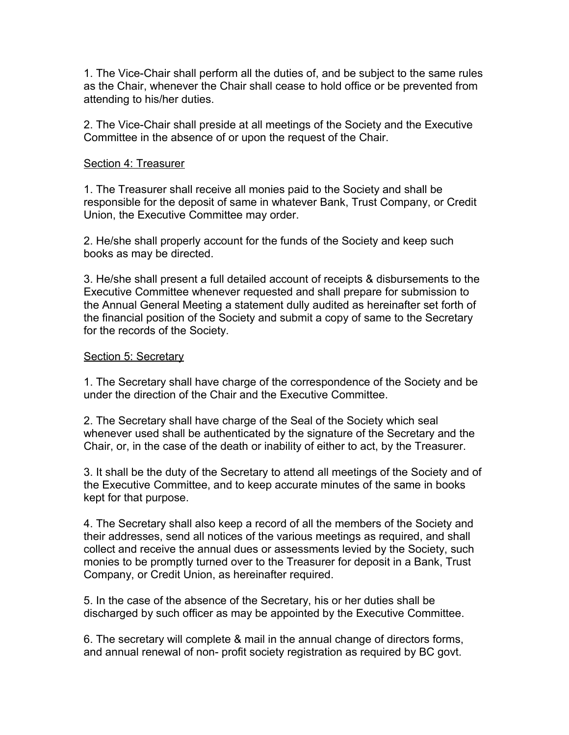1. The Vice-Chair shall perform all the duties of, and be subject to the same rules as the Chair, whenever the Chair shall cease to hold office or be prevented from attending to his/her duties.

2. The Vice-Chair shall preside at all meetings of the Society and the Executive Committee in the absence of or upon the request of the Chair.

#### Section 4: Treasurer

1. The Treasurer shall receive all monies paid to the Society and shall be responsible for the deposit of same in whatever Bank, Trust Company, or Credit Union, the Executive Committee may order.

2. He/she shall properly account for the funds of the Society and keep such books as may be directed.

3. He/she shall present a full detailed account of receipts & disbursements to the Executive Committee whenever requested and shall prepare for submission to the Annual General Meeting a statement dully audited as hereinafter set forth of the financial position of the Society and submit a copy of same to the Secretary for the records of the Society.

#### Section 5: Secretary

1. The Secretary shall have charge of the correspondence of the Society and be under the direction of the Chair and the Executive Committee.

2. The Secretary shall have charge of the Seal of the Society which seal whenever used shall be authenticated by the signature of the Secretary and the Chair, or, in the case of the death or inability of either to act, by the Treasurer.

3. It shall be the duty of the Secretary to attend all meetings of the Society and of the Executive Committee, and to keep accurate minutes of the same in books kept for that purpose.

4. The Secretary shall also keep a record of all the members of the Society and their addresses, send all notices of the various meetings as required, and shall collect and receive the annual dues or assessments levied by the Society, such monies to be promptly turned over to the Treasurer for deposit in a Bank, Trust Company, or Credit Union, as hereinafter required.

5. In the case of the absence of the Secretary, his or her duties shall be discharged by such officer as may be appointed by the Executive Committee.

6. The secretary will complete & mail in the annual change of directors forms, and annual renewal of non- profit society registration as required by BC govt.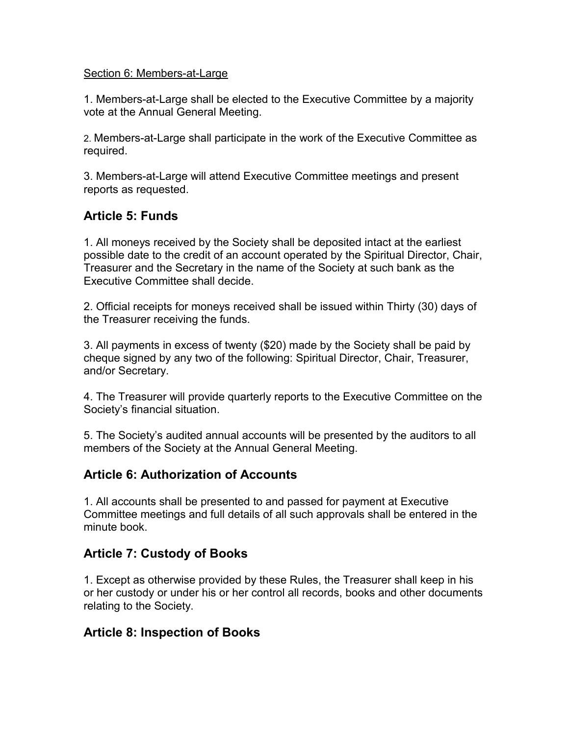#### Section 6: Members-at-Large

1. Members-at-Large shall be elected to the Executive Committee by a majority vote at the Annual General Meeting.

2. Members-at-Large shall participate in the work of the Executive Committee as required.

3. Members-at-Large will attend Executive Committee meetings and present reports as requested.

# **Article 5: Funds**

1. All moneys received by the Society shall be deposited intact at the earliest possible date to the credit of an account operated by the Spiritual Director, Chair, Treasurer and the Secretary in the name of the Society at such bank as the Executive Committee shall decide.

2. Official receipts for moneys received shall be issued within Thirty (30) days of the Treasurer receiving the funds.

3. All payments in excess of twenty (\$20) made by the Society shall be paid by cheque signed by any two of the following: Spiritual Director, Chair, Treasurer, and/or Secretary.

4. The Treasurer will provide quarterly reports to the Executive Committee on the Society's financial situation.

5. The Society's audited annual accounts will be presented by the auditors to all members of the Society at the Annual General Meeting.

## **Article 6: Authorization of Accounts**

1. All accounts shall be presented to and passed for payment at Executive Committee meetings and full details of all such approvals shall be entered in the minute book.

## **Article 7: Custody of Books**

1. Except as otherwise provided by these Rules, the Treasurer shall keep in his or her custody or under his or her control all records, books and other documents relating to the Society.

## **Article 8: Inspection of Books**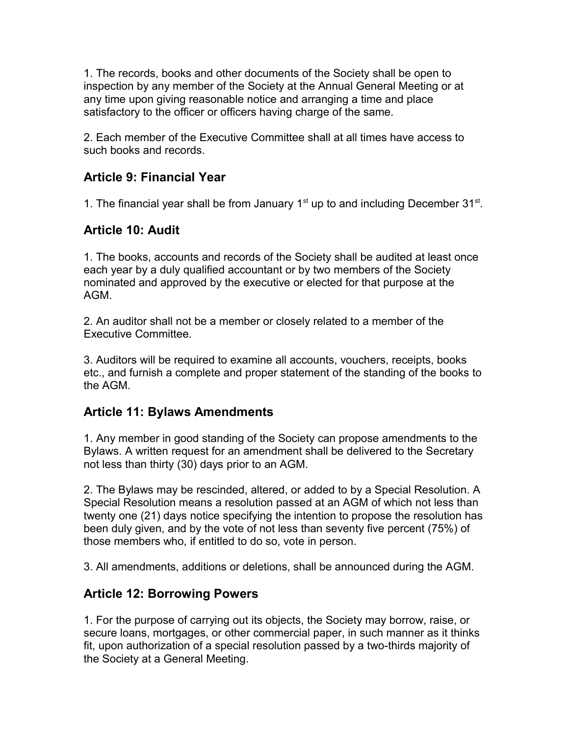1. The records, books and other documents of the Society shall be open to inspection by any member of the Society at the Annual General Meeting or at any time upon giving reasonable notice and arranging a time and place satisfactory to the officer or officers having charge of the same.

2. Each member of the Executive Committee shall at all times have access to such books and records.

# **Article 9: Financial Year**

1. The financial year shall be from January  $1<sup>st</sup>$  up to and including December 31 $<sup>st</sup>$ .</sup>

## **Article 10: Audit**

1. The books, accounts and records of the Society shall be audited at least once each year by a duly qualified accountant or by two members of the Society nominated and approved by the executive or elected for that purpose at the AGM.

2. An auditor shall not be a member or closely related to a member of the Executive Committee.

3. Auditors will be required to examine all accounts, vouchers, receipts, books etc., and furnish a complete and proper statement of the standing of the books to the AGM.

## **Article 11: Bylaws Amendments**

1. Any member in good standing of the Society can propose amendments to the Bylaws. A written request for an amendment shall be delivered to the Secretary not less than thirty (30) days prior to an AGM.

2. The Bylaws may be rescinded, altered, or added to by a Special Resolution. A Special Resolution means a resolution passed at an AGM of which not less than twenty one (21) days notice specifying the intention to propose the resolution has been duly given, and by the vote of not less than seventy five percent (75%) of those members who, if entitled to do so, vote in person.

3. All amendments, additions or deletions, shall be announced during the AGM.

# **Article 12: Borrowing Powers**

1. For the purpose of carrying out its objects, the Society may borrow, raise, or secure loans, mortgages, or other commercial paper, in such manner as it thinks fit, upon authorization of a special resolution passed by a two-thirds majority of the Society at a General Meeting.